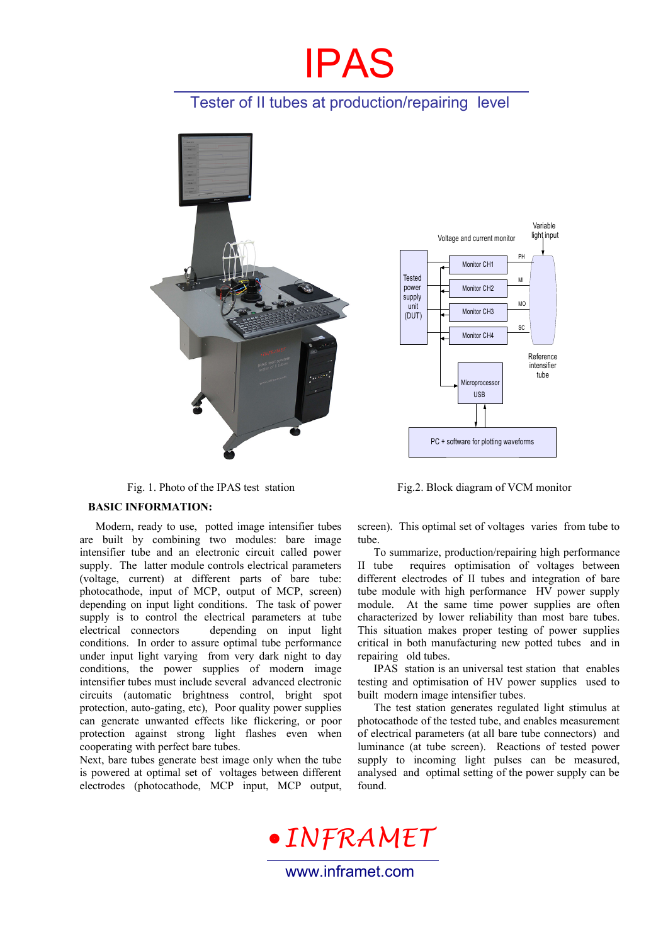# IPAS

## Tester of II tubes at production/repairing level



Fig. 1. Photo of the IPAS test station Fig.2. Block diagram of VCM monitor

#### **BASIC INFORMATION:**

Modern, ready to use, potted image intensifier tubes are built by combining two modules: bare image intensifier tube and an electronic circuit called power supply. The latter module controls electrical parameters (voltage, current) at different parts of bare tube: photocathode, input of MCP, output of MCP, screen) depending on input light conditions. The task of power supply is to control the electrical parameters at tube electrical connectors depending on input light conditions. In order to assure optimal tube performance under input light varying from very dark night to day conditions, the power supplies of modern image intensifier tubes must include several advanced electronic circuits (automatic brightness control, bright spot protection, auto-gating, etc), Poor quality power supplies can generate unwanted effects like flickering, or poor protection against strong light flashes even when cooperating with perfect bare tubes.

Next, bare tubes generate best image only when the tube is powered at optimal set of voltages between different electrodes (photocathode, MCP input, MCP output,

screen). This optimal set of voltages varies from tube to tube.

To summarize, production/repairing high performance II tube requires optimisation of voltages between different electrodes of II tubes and integration of bare tube module with high performance HV power supply module. At the same time power supplies are often characterized by lower reliability than most bare tubes. This situation makes proper testing of power supplies critical in both manufacturing new potted tubes and in repairing old tubes.

IPAS station is an universal test station that enables testing and optimisation of HV power supplies used to built modern image intensifier tubes.

The test station generates regulated light stimulus at photocathode of the tested tube, and enables measurement of electrical parameters (at all bare tube connectors) and luminance (at tube screen). Reactions of tested power supply to incoming light pulses can be measured, analysed and optimal setting of the power supply can be found.